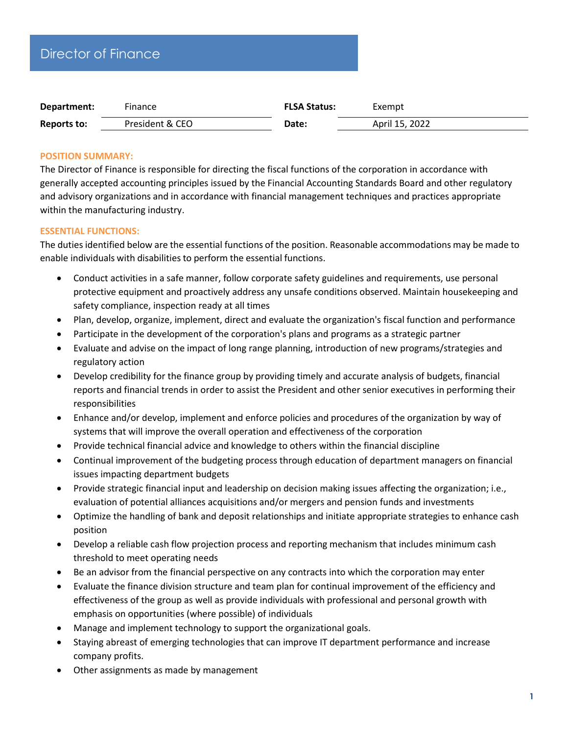| Department.        | Filidiice       | - FLJA JIdIUS. | EXEIIIDL       |  |
|--------------------|-----------------|----------------|----------------|--|
| <b>Reports to:</b> | President & CEO | <b>Date:</b>   | April 15, 2022 |  |

# **POSITION SUMMARY:**

The Director of Finance is responsible for directing the fiscal functions of the corporation in accordance with generally accepted accounting principles issued by the Financial Accounting Standards Board and other regulatory and advisory organizations and in accordance with financial management techniques and practices appropriate within the manufacturing industry.

## **ESSENTIAL FUNCTIONS:**

The duties identified below are the essential functions of the position. Reasonable accommodations may be made to enable individuals with disabilities to perform the essential functions.

- Conduct activities in a safe manner, follow corporate safety guidelines and requirements, use personal protective equipment and proactively address any unsafe conditions observed. Maintain housekeeping and safety compliance, inspection ready at all times
- Plan, develop, organize, implement, direct and evaluate the organization's fiscal function and performance
- Participate in the development of the corporation's plans and programs as a strategic partner
- Evaluate and advise on the impact of long range planning, introduction of new programs/strategies and regulatory action
- Develop credibility for the finance group by providing timely and accurate analysis of budgets, financial reports and financial trends in order to assist the President and other senior executives in performing their responsibilities
- Enhance and/or develop, implement and enforce policies and procedures of the organization by way of systems that will improve the overall operation and effectiveness of the corporation
- Provide technical financial advice and knowledge to others within the financial discipline
- Continual improvement of the budgeting process through education of department managers on financial issues impacting department budgets
- Provide strategic financial input and leadership on decision making issues affecting the organization; i.e., evaluation of potential alliances acquisitions and/or mergers and pension funds and investments
- Optimize the handling of bank and deposit relationships and initiate appropriate strategies to enhance cash position
- Develop a reliable cash flow projection process and reporting mechanism that includes minimum cash threshold to meet operating needs
- Be an advisor from the financial perspective on any contracts into which the corporation may enter
- Evaluate the finance division structure and team plan for continual improvement of the efficiency and effectiveness of the group as well as provide individuals with professional and personal growth with emphasis on opportunities (where possible) of individuals
- Manage and implement technology to support the organizational goals.
- Staying abreast of emerging technologies that can improve IT department performance and increase company profits.
- Other assignments as made by management